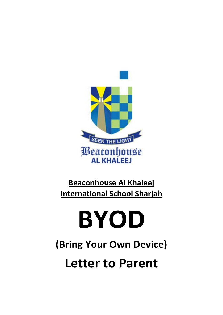

# **Beaconhouse Al Khaleej International School Sharjah**

# **BYOD**

**(Bring Your Own Device)**

**Letter to Parent**